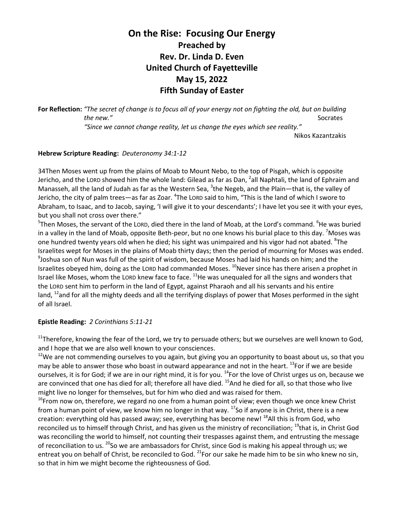# **On the Rise: Focusing Our Energy Preached by Rev. Dr. Linda D. Even United Church of Fayetteville May 15, 2022 Fifth Sunday of Easter**

**For Reflection:** *"The secret of change is to focus all of your energy not on fighting the old, but on building the new."* Socrates *"Since we cannot change reality, let us change the eyes which see reality."* Nikos Kazantzakis

## **Hebrew Scripture Reading:** *Deuteronomy 34:1-12*

34Then Moses went up from the plains of Moab to Mount Nebo, to the top of Pisgah, which is opposite Jericho, and the LORD showed him the whole land: Gilead as far as Dan, <sup>2</sup>all Naphtali, the land of Ephraim and Manasseh, all the land of Judah as far as the Western Sea, <sup>3</sup>the Negeb, and the Plain—that is, the valley of Jericho, the city of palm trees—as far as Zoar. <sup>4</sup>The Loro said to him, "This is the land of which I swore to Abraham, to Isaac, and to Jacob, saying, 'I will give it to your descendants'; I have let you see it with your eyes, but you shall not cross over there."

<sup>5</sup>Then Moses, the servant of the LORD, died there in the land of Moab, at the Lord's command. <sup>6</sup>He was buried in a valley in the land of Moab, opposite Beth-peor, but no one knows his burial place to this day. <sup>7</sup>Moses was one hundred twenty years old when he died; his sight was unimpaired and his vigor had not abated.  ${}^{8}$ The Israelites wept for Moses in the plains of Moab thirty days; then the period of mourning for Moses was ended.  $9$ Joshua son of Nun was full of the spirit of wisdom, because Moses had laid his hands on him; and the Israelites obeyed him, doing as the LORD had commanded Moses. <sup>10</sup>Never since has there arisen a prophet in Israel like Moses, whom the LORD knew face to face.  $11$ He was unequaled for all the signs and wonders that the LORD sent him to perform in the land of Egypt, against Pharaoh and all his servants and his entire land,  $^{12}$ and for all the mighty deeds and all the terrifying displays of power that Moses performed in the sight of all Israel.

## **Epistle Reading:** *2 Corinthians 5:11-21*

 $11$ Therefore, knowing the fear of the Lord, we try to persuade others; but we ourselves are well known to God, and I hope that we are also well known to your consciences.

 $12$ We are not commending ourselves to you again, but giving you an opportunity to boast about us, so that you may be able to answer those who boast in outward appearance and not in the heart. <sup>13</sup>For if we are beside ourselves, it is for God; if we are in our right mind, it is for you. <sup>14</sup>For the love of Christ urges us on, because we are convinced that one has died for all; therefore all have died. <sup>15</sup>And he died for all, so that those who live might live no longer for themselves, but for him who died and was raised for them.

<sup>16</sup>From now on, therefore, we regard no one from a human point of view; even though we once knew Christ from a human point of view, we know him no longer in that way.  $^{17}$ So if anyone is in Christ, there is a new creation: everything old has passed away; see, everything has become new! <sup>18</sup>All this is from God, who reconciled us to himself through Christ, and has given us the ministry of reconciliation; <sup>19</sup>that is, in Christ God was reconciling the world to himself, not counting their trespasses against them, and entrusting the message of reconciliation to us. <sup>20</sup>So we are ambassadors for Christ, since God is making his appeal through us; we entreat you on behalf of Christ, be reconciled to God. <sup>21</sup>For our sake he made him to be sin who knew no sin, so that in him we might become the righteousness of God.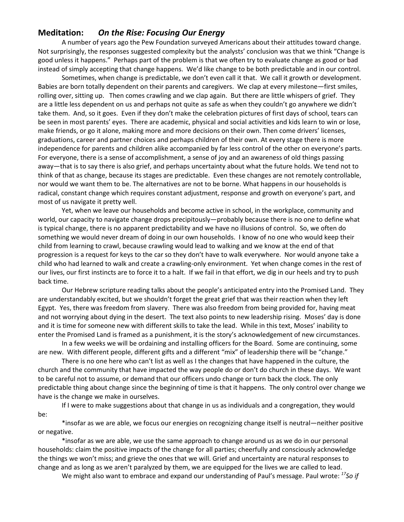# **Meditation:** *On the Rise: Focusing Our Energy*

A number of years ago the Pew Foundation surveyed Americans about their attitudes toward change. Not surprisingly, the responses suggested complexity but the analysts' conclusion was that we think "Change is good unless it happens." Perhaps part of the problem is that we often try to evaluate change as good or bad instead of simply accepting that change happens. We'd like change to be both predictable and in our control.

Sometimes, when change is predictable, we don't even call it that. We call it growth or development. Babies are born totally dependent on their parents and caregivers. We clap at every milestone—first smiles, rolling over, sitting up. Then comes crawling and we clap again. But there are little whispers of grief. They are a little less dependent on us and perhaps not quite as safe as when they couldn't go anywhere we didn't take them. And, so it goes. Even if they don't make the celebration pictures of first days of school, tears can be seen in most parents' eyes. There are academic, physical and social activities and kids learn to win or lose, make friends, or go it alone, making more and more decisions on their own. Then come drivers' licenses, graduations, career and partner choices and perhaps children of their own. At every stage there is more independence for parents and children alike accompanied by far less control of the other on everyone's parts. For everyone, there is a sense of accomplishment, a sense of joy and an awareness of old things passing away—that is to say there is also grief, and perhaps uncertainty about what the future holds. We tend not to think of that as change, because its stages are predictable. Even these changes are not remotely controllable, nor would we want them to be. The alternatives are not to be borne. What happens in our households is radical, constant change which requires constant adjustment, response and growth on everyone's part, and most of us navigate it pretty well.

Yet, when we leave our households and become active in school, in the workplace, community and world, our capacity to navigate change drops precipitously—probably because there is no one to define what is typical change, there is no apparent predictability and we have no illusions of control. So, we often do something we would never dream of doing in our own households. I know of no one who would keep their child from learning to crawl, because crawling would lead to walking and we know at the end of that progression is a request for keys to the car so they don't have to walk everywhere. Nor would anyone take a child who had learned to walk and create a crawling-only environment. Yet when change comes in the rest of our lives, our first instincts are to force it to a halt. If we fail in that effort, we dig in our heels and try to push back time.

Our Hebrew scripture reading talks about the people's anticipated entry into the Promised Land. They are understandably excited, but we shouldn't forget the great grief that was their reaction when they left Egypt. Yes, there was freedom from slavery. There was also freedom from being provided for, having meat and not worrying about dying in the desert. The text also points to new leadership rising. Moses' day is done and it is time for someone new with different skills to take the lead. While in this text, Moses' inability to enter the Promised Land is framed as a punishment, it is the story's acknowledgement of new circumstances.

In a few weeks we will be ordaining and installing officers for the Board. Some are continuing, some are new. With different people, different gifts and a different "mix" of leadership there will be "change."

There is no one here who can't list as well as I the changes that have happened in the culture, the church and the community that have impacted the way people do or don't do church in these days. We want to be careful not to assume, or demand that our officers undo change or turn back the clock. The only predictable thing about change since the beginning of time is that it happens. The only control over change we have is the change we make in ourselves.

If I were to make suggestions about that change in us as individuals and a congregation, they would be:

\*insofar as we are able, we focus our energies on recognizing change itself is neutral—neither positive or negative.

\*insofar as we are able, we use the same approach to change around us as we do in our personal households: claim the positive impacts of the change for all parties; cheerfully and consciously acknowledge the things we won't miss; and grieve the ones that we will. Grief and uncertainty are natural responses to change and as long as we aren't paralyzed by them, we are equipped for the lives we are called to lead.

We might also want to embrace and expand our understanding of Paul's message. Paul wrote: *<sup>17</sup>So if*